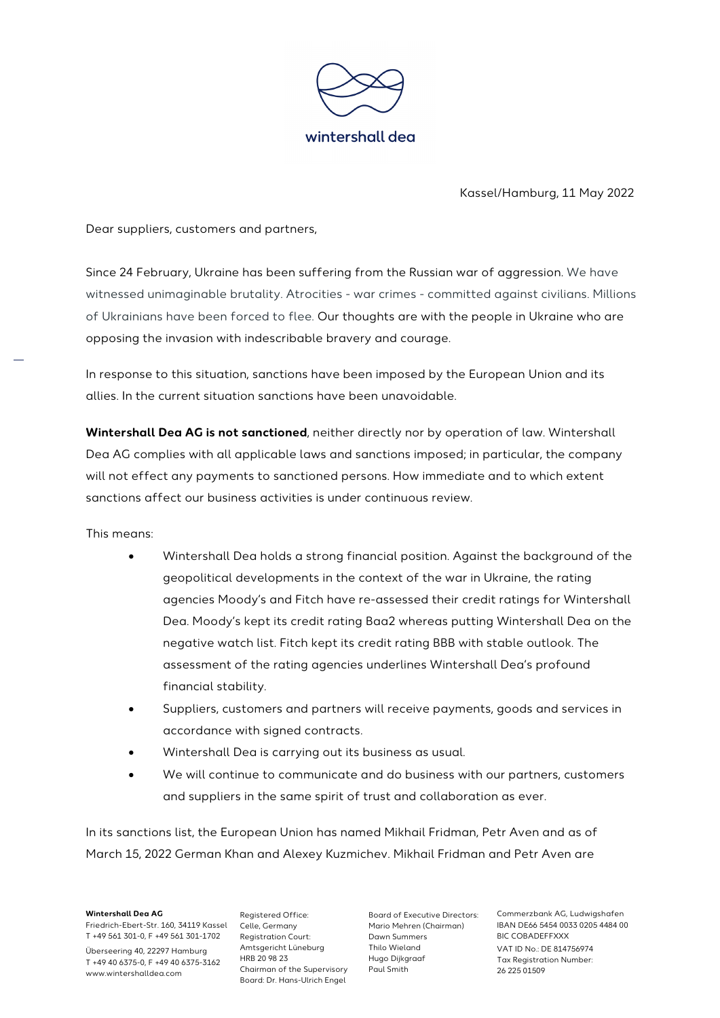

Kassel/Hamburg, 11 May 2022

Dear suppliers, customers and partners,

Since 24 February, Ukraine has been suffering from the Russian war of aggression. We have witnessed unimaginable brutality. Atrocities - war crimes - committed against civilians. Millions of Ukrainians have been forced to flee. Our thoughts are with the people in Ukraine who are opposing the invasion with indescribable bravery and courage.

In response to this situation, sanctions have been imposed by the European Union and its allies. In the current situation sanctions have been unavoidable.

**Wintershall Dea AG is not sanctioned**, neither directly nor by operation of law. Wintershall Dea AG complies with all applicable laws and sanctions imposed; in particular, the company will not effect any payments to sanctioned persons. How immediate and to which extent sanctions affect our business activities is under continuous review.

This means:

- Wintershall Dea holds a strong financial position. Against the background of the geopolitical developments in the context of the war in Ukraine, the rating agencies Moody's and Fitch have re-assessed their credit ratings for Wintershall Dea. Moody's kept its credit rating Baa2 whereas putting Wintershall Dea on the negative watch list. Fitch kept its credit rating BBB with stable outlook. The assessment of the rating agencies underlines Wintershall Dea's profound financial stability.
- Suppliers, customers and partners will receive payments, goods and services in accordance with signed contracts.
- Wintershall Dea is carrying out its business as usual.
- We will continue to communicate and do business with our partners, customers and suppliers in the same spirit of trust and collaboration as ever.

In its sanctions list, the European Union has named Mikhail Fridman, Petr Aven and as of March 15, 2022 German Khan and Alexey Kuzmichev. Mikhail Fridman and Petr Aven are

**Wintershall Dea AG** Friedrich-Ebert-Str. 160, 34119 Kassel Celle, Germany T +49 561 301-0, F +49 561 301-1702 Überseering 40, 22297 Hamburg T +49 40 6375-0, F +49 40 6375-3162 www.wintershalldea.com

Registered Office: Registration Court: Amtsgericht Lüneburg HRB 20 98 23 Chairman of the Supervisory Board: Dr. Hans-Ulrich Engel

Board of Executive Directors: Mario Mehren (Chairman) Dawn Summers Thilo Wieland Hugo Dijkgraaf Paul Smith

Commerzbank AG, Ludwigshafen IBAN DE66 5454 0033 0205 4484 00 BIC COBADEFFXXX VAT ID No.: DE 814756974 Tax Registration Number: 26 225 01509